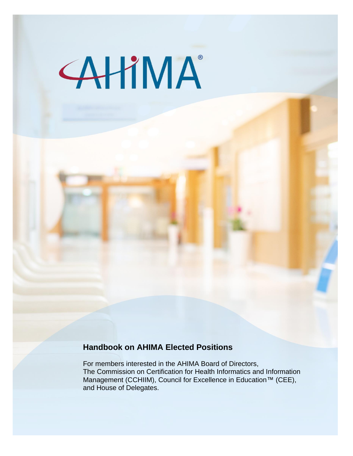# **AHIMA**

# **Handbook on AHIMA Elected Positions**

For members interested in the AHIMA Board of Directors, The Commission on Certification for Health Informatics and Information Management (CCHIIM), Council for Excellence in Education™ (CEE), and House of Delegates.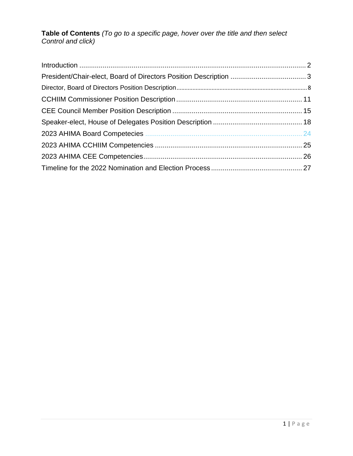**Table of Contents** *(To go to a specific page, hover over the title and then select Control and click)*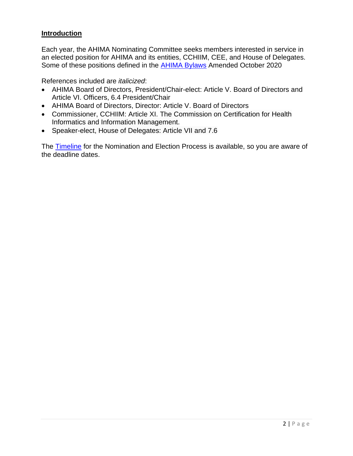#### <span id="page-2-0"></span>**Introduction**

Each year, the AHIMA Nominating Committee seeks members interested in service in an elected position for AHIMA and its entities, CCHIIM, CEE, and House of Delegates. Some of these positions defined in the [AHIMA Bylaws](https://www.ahima.org/media/tjrh4fxz/ahima-bylaws-october-2020.pdf) Amended October 2020

References included are *italicized*:

- AHIMA Board of Directors, President/Chair-elect: Article V. Board of Directors and Article VI. Officers, 6.4 President/Chair
- AHIMA Board of Directors, Director: Article V. Board of Directors
- Commissioner, CCHIIM: Article XI. The Commission on Certification for Health Informatics and Information Management.
- Speaker-elect, House of Delegates: Article VII and 7.6

The [Timeline](https://www.ahima.org/who-we-are/volunteer/timeline-for-elected-positions/?tabid=timeline) for the Nomination and Election Process is available, so you are aware of the deadline dates.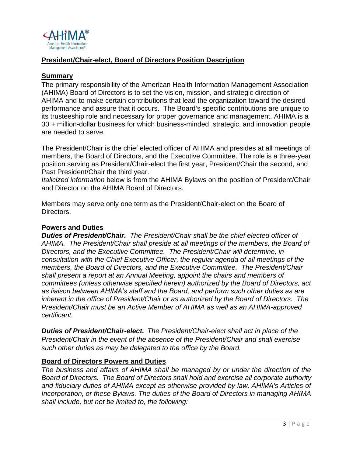

## <span id="page-3-0"></span>**President/Chair-elect, Board of Directors Position Description**

#### **Summary**

The primary responsibility of the American Health Information Management Association (AHIMA) Board of Directors is to set the vision, mission, and strategic direction of AHIMA and to make certain contributions that lead the organization toward the desired performance and assure that it occurs. The Board's specific contributions are unique to its trusteeship role and necessary for proper governance and management. AHIMA is a 30 + million-dollar business for which business-minded, strategic, and innovation people are needed to serve.

The President/Chair is the chief elected officer of AHIMA and presides at all meetings of members, the Board of Directors, and the Executive Committee. The role is a three-year position serving as President/Chair-elect the first year, President/Chair the second, and Past President/Chair the third year.

*Italicized information* below is from the AHIMA Bylaws on the position of President/Chair and Director on the AHIMA Board of Directors.

Members may serve only one term as the President/Chair-elect on the Board of Directors.

#### **Powers and Duties**

*Duties of President/Chair. The President/Chair shall be the chief elected officer of AHIMA. The President/Chair shall preside at all meetings of the members, the Board of Directors, and the Executive Committee. The President/Chair will determine, in consultation with the Chief Executive Officer, the regular agenda of all meetings of the members, the Board of Directors, and the Executive Committee. The President/Chair shall present a report at an Annual Meeting, appoint the chairs and members of committees (unless otherwise specified herein) authorized by the Board of Directors, act as liaison between AHIMA's staff and the Board, and perform such other duties as are inherent in the office of President/Chair or as authorized by the Board of Directors. The President/Chair must be an Active Member of AHIMA as well as an AHIMA-approved certificant.*

*Duties of President/Chair-elect. The President/Chair-elect shall act in place of the President/Chair in the event of the absence of the President/Chair and shall exercise such other duties as may be delegated to the office by the Board.*

#### **Board of Directors Powers and Duties**

*The business and affairs of AHIMA shall be managed by or under the direction of the Board of Directors. The Board of Directors shall hold and exercise all corporate authority and fiduciary duties of AHIMA except as otherwise provided by law, AHIMA's Articles of Incorporation, or these Bylaws. The duties of the Board of Directors in managing AHIMA shall include, but not be limited to, the following:*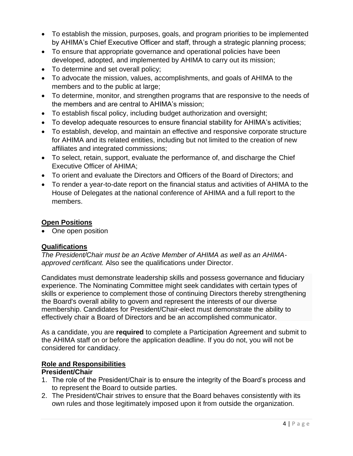- To establish the mission, purposes, goals, and program priorities to be implemented by AHIMA's Chief Executive Officer and staff, through a strategic planning process;
- To ensure that appropriate governance and operational policies have been developed, adopted, and implemented by AHIMA to carry out its mission;
- To determine and set overall policy;
- To advocate the mission, values, accomplishments, and goals of AHIMA to the members and to the public at large;
- To determine, monitor, and strengthen programs that are responsive to the needs of the members and are central to AHIMA's mission;
- To establish fiscal policy, including budget authorization and oversight;
- To develop adequate resources to ensure financial stability for AHIMA's activities;
- To establish, develop, and maintain an effective and responsive corporate structure for AHIMA and its related entities, including but not limited to the creation of new affiliates and integrated commissions;
- To select, retain, support, evaluate the performance of, and discharge the Chief Executive Officer of AHIMA;
- To orient and evaluate the Directors and Officers of the Board of Directors; and
- To render a year-to-date report on the financial status and activities of AHIMA to the House of Delegates at the national conference of AHIMA and a full report to the members.

# **Open Positions**

• One open position

#### **Qualifications**

*The President/Chair must be an Active Member of AHIMA as well as an AHIMAapproved certificant.* Also see the qualifications under Director.

Candidates must demonstrate leadership skills and possess governance and fiduciary experience. The Nominating Committee might seek candidates with certain types of skills or experience to complement those of continuing Directors thereby strengthening the Board's overall ability to govern and represent the interests of our diverse membership. Candidates for President/Chair-elect must demonstrate the ability to effectively chair a Board of Directors and be an accomplished communicator.

As a candidate, you are **required** to complete a Participation Agreement and submit to the AHIMA staff on or before the application deadline. If you do not, you will not be considered for candidacy.

#### **Role and Responsibilities**

#### **President/Chair**

- 1. The role of the President/Chair is to ensure the integrity of the Board's process and to represent the Board to outside parties.
- 2. The President/Chair strives to ensure that the Board behaves consistently with its own rules and those legitimately imposed upon it from outside the organization.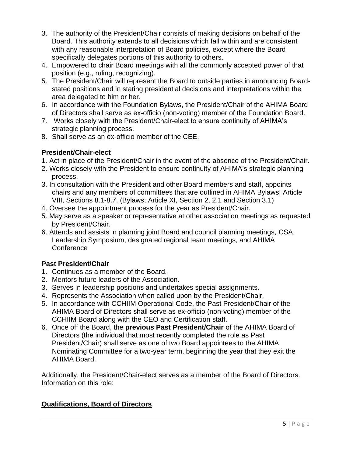- 3. The authority of the President/Chair consists of making decisions on behalf of the Board. This authority extends to all decisions which fall within and are consistent with any reasonable interpretation of Board policies, except where the Board specifically delegates portions of this authority to others.
- 4. Empowered to chair Board meetings with all the commonly accepted power of that position (e.g., ruling, recognizing).
- 5. The President/Chair will represent the Board to outside parties in announcing Boardstated positions and in stating presidential decisions and interpretations within the area delegated to him or her.
- 6. In accordance with the Foundation Bylaws, the President/Chair of the AHIMA Board of Directors shall serve as ex-officio (non-voting) member of the Foundation Board.
- 7. Works closely with the President/Chair-elect to ensure continuity of AHIMA's strategic planning process.
- 8. Shall serve as an ex-officio member of the CEE.

# **President/Chair-elect**

- 1. Act in place of the President/Chair in the event of the absence of the President/Chair.
- 2. Works closely with the President to ensure continuity of AHIMA's strategic planning process.
- 3. In consultation with the President and other Board members and staff, appoints chairs and any members of committees that are outlined in AHIMA Bylaws; Article VIII, Sections 8.1-8.7. (Bylaws; Article XI, Section 2, 2.1 and Section 3.1)
- 4. Oversee the appointment process for the year as President/Chair.
- 5. May serve as a speaker or representative at other association meetings as requested by President/Chair.
- 6. Attends and assists in planning joint Board and council planning meetings, CSA Leadership Symposium, designated regional team meetings, and AHIMA **Conference**

# **Past President/Chair**

- 1. Continues as a member of the Board.
- 2. Mentors future leaders of the Association.
- 3. Serves in leadership positions and undertakes special assignments.
- 4. Represents the Association when called upon by the President/Chair.
- 5. In accordance with CCHIIM Operational Code, the Past President/Chair of the AHIMA Board of Directors shall serve as ex-officio (non-voting) member of the CCHIIM Board along with the CEO and Certification staff.
- 6. Once off the Board, the **previous Past President/Chair** of the AHIMA Board of Directors (the individual that most recently completed the role as Past President/Chair) shall serve as one of two Board appointees to the AHIMA Nominating Committee for a two-year term, beginning the year that they exit the AHIMA Board.

Additionally, the President/Chair-elect serves as a member of the Board of Directors. Information on this role:

# **Qualifications, Board of Directors**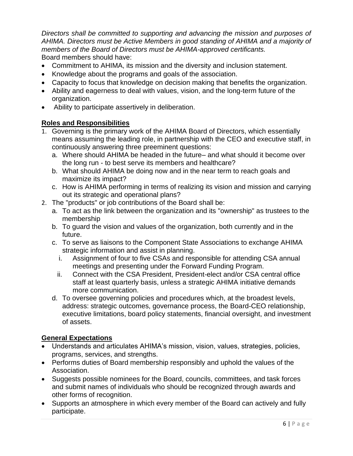*Directors shall be committed to supporting and advancing the mission and purposes of AHIMA. Directors must be Active Members in good standing of AHIMA and a majority of members of the Board of Directors must be AHIMA-approved certificants.* Board members should have:

- Commitment to AHIMA, its mission and the diversity and inclusion statement.
- Knowledge about the programs and goals of the association.
- Capacity to focus that knowledge on decision making that benefits the organization.
- Ability and eagerness to deal with values, vision, and the long-term future of the organization.
- Ability to participate assertively in deliberation.

# **Roles and Responsibilities**

- 1. Governing is the primary work of the AHIMA Board of Directors, which essentially means assuming the leading role, in partnership with the CEO and executive staff, in continuously answering three preeminent questions:
	- a. Where should AHIMA be headed in the future– and what should it become over the long run - to best serve its members and healthcare?
	- b. What should AHIMA be doing now and in the near term to reach goals and maximize its impact?
	- c. How is AHIMA performing in terms of realizing its vision and mission and carrying out its strategic and operational plans?
- 2. The "products" or job contributions of the Board shall be:
	- a. To act as the link between the organization and its "ownership" as trustees to the membership
	- b. To guard the vision and values of the organization, both currently and in the future.
	- c. To serve as liaisons to the Component State Associations to exchange AHIMA strategic information and assist in planning.
		- i. Assignment of four to five CSAs and responsible for attending CSA annual meetings and presenting under the Forward Funding Program.
		- ii. Connect with the CSA President, President-elect and/or CSA central office staff at least quarterly basis, unless a strategic AHIMA initiative demands more communication.
	- d. To oversee governing policies and procedures which, at the broadest levels, address: strategic outcomes, governance process, the Board-CEO relationship, executive limitations, board policy statements, financial oversight, and investment of assets.

# **General Expectations**

- Understands and articulates AHIMA's mission, vision, values, strategies, policies, programs, services, and strengths.
- Performs duties of Board membership responsibly and uphold the values of the Association.
- Suggests possible nominees for the Board, councils, committees, and task forces and submit names of individuals who should be recognized through awards and other forms of recognition.
- Supports an atmosphere in which every member of the Board can actively and fully participate.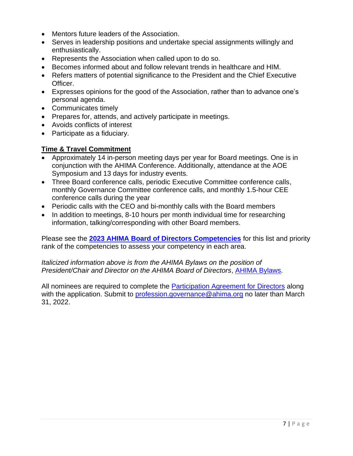- Mentors future leaders of the Association.
- Serves in leadership positions and undertake special assignments willingly and enthusiastically.
- Represents the Association when called upon to do so.
- Becomes informed about and follow relevant trends in healthcare and HIM.
- Refers matters of potential significance to the President and the Chief Executive Officer.
- Expresses opinions for the good of the Association, rather than to advance one's personal agenda.
- Communicates timely
- Prepares for, attends, and actively participate in meetings.
- Avoids conflicts of interest
- Participate as a fiduciary.

# **Time & Travel Commitment**

- Approximately 14 in-person meeting days per year for Board meetings. One is in conjunction with the AHIMA Conference. Additionally, attendance at the AOE Symposium and 13 days for industry events.
- Three Board conference calls, periodic Executive Committee conference calls, monthly Governance Committee conference calls, and monthly 1.5-hour CEE conference calls during the year
- Periodic calls with the CEO and bi-monthly calls with the Board members
- In addition to meetings, 8-10 hours per month individual time for researching information, talking/corresponding with other Board members.

Please see the **[2023 AHIMA Board of Directors Competencies](#page-24-0)** for this list and priority rank of the competencies to assess your competency in each area.

*Italicized information above is from the AHIMA Bylaws on the position of President/Chair and Director on the AHIMA Board of Directors*, [AHIMA Bylaws.](https://www.ahima.org/media/tjrh4fxz/ahima-bylaws-october-2020.pdf)

All nominees are required to complete the [Participation Agreement for Directors](https://www.ahima.org/media/kahfwquf/participation-agreemnt-board-revised-112119.pdf) along with the application. Submit to [profession.governance@ahima.org](mailto:profession.governance@ahima.org) no later than March 31, 2022.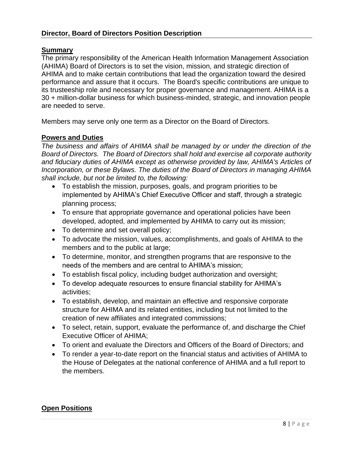#### <span id="page-8-0"></span>**Director, Board of Directors Position Description**

#### **Summary**

The primary responsibility of the American Health Information Management Association (AHIMA) Board of Directors is to set the vision, mission, and strategic direction of AHIMA and to make certain contributions that lead the organization toward the desired performance and assure that it occurs. The Board's specific contributions are unique to its trusteeship role and necessary for proper governance and management. AHIMA is a 30 + million-dollar business for which business-minded, strategic, and innovation people are needed to serve.

Members may serve only one term as a Director on the Board of Directors.

#### **Powers and Duties**

*The business and affairs of AHIMA shall be managed by or under the direction of the Board of Directors. The Board of Directors shall hold and exercise all corporate authority and fiduciary duties of AHIMA except as otherwise provided by law, AHIMA's Articles of Incorporation, or these Bylaws. The duties of the Board of Directors in managing AHIMA shall include, but not be limited to, the following:*

- To establish the mission, purposes, goals, and program priorities to be implemented by AHIMA's Chief Executive Officer and staff, through a strategic planning process;
- To ensure that appropriate governance and operational policies have been developed, adopted, and implemented by AHIMA to carry out its mission;
- To determine and set overall policy;
- To advocate the mission, values, accomplishments, and goals of AHIMA to the members and to the public at large;
- To determine, monitor, and strengthen programs that are responsive to the needs of the members and are central to AHIMA's mission;
- To establish fiscal policy, including budget authorization and oversight;
- To develop adequate resources to ensure financial stability for AHIMA's activities;
- To establish, develop, and maintain an effective and responsive corporate structure for AHIMA and its related entities, including but not limited to the creation of new affiliates and integrated commissions;
- To select, retain, support, evaluate the performance of, and discharge the Chief Executive Officer of AHIMA;
- To orient and evaluate the Directors and Officers of the Board of Directors; and
- To render a year-to-date report on the financial status and activities of AHIMA to the House of Delegates at the national conference of AHIMA and a full report to the members.

#### **Open Positions**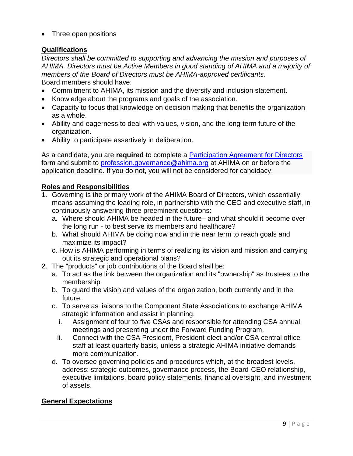• Three open positions

# **Qualifications**

*Directors shall be committed to supporting and advancing the mission and purposes of AHIMA. Directors must be Active Members in good standing of AHIMA and a majority of members of the Board of Directors must be AHIMA-approved certificants.* Board members should have:

- Commitment to AHIMA, its mission and the diversity and inclusion statement.
- Knowledge about the programs and goals of the association.
- Capacity to focus that knowledge on decision making that benefits the organization as a whole.
- Ability and eagerness to deal with values, vision, and the long-term future of the organization.
- Ability to participate assertively in deliberation.

As a candidate, you are **required** to complete a [Participation Agreement for Directors](https://www.ahima.org/media/kahfwquf/participation-agreemnt-board-revised-112119.pdf) form and submit to [profession.governance@ahima.org](mailto:profession.governance@ahima.org) at AHIMA on or before the application deadline. If you do not, you will not be considered for candidacy.

## **Roles and Responsibilities**

- 1. Governing is the primary work of the AHIMA Board of Directors, which essentially means assuming the leading role, in partnership with the CEO and executive staff, in continuously answering three preeminent questions:
	- a. Where should AHIMA be headed in the future– and what should it become over the long run - to best serve its members and healthcare?
	- b. What should AHIMA be doing now and in the near term to reach goals and maximize its impact?
	- c. How is AHIMA performing in terms of realizing its vision and mission and carrying out its strategic and operational plans?
- 2. The "products" or job contributions of the Board shall be:
	- a. To act as the link between the organization and its "ownership" as trustees to the membership
	- b. To guard the vision and values of the organization, both currently and in the future.
	- c. To serve as liaisons to the Component State Associations to exchange AHIMA strategic information and assist in planning.
		- i. Assignment of four to five CSAs and responsible for attending CSA annual meetings and presenting under the Forward Funding Program.
		- ii. Connect with the CSA President, President-elect and/or CSA central office staff at least quarterly basis, unless a strategic AHIMA initiative demands more communication.
	- d. To oversee governing policies and procedures which, at the broadest levels, address: strategic outcomes, governance process, the Board-CEO relationship, executive limitations, board policy statements, financial oversight, and investment of assets.

# **General Expectations**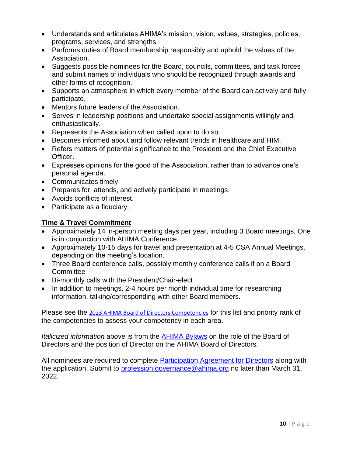- Understands and articulates AHIMA's mission, vision, values, strategies, policies, programs, services, and strengths.
- Performs duties of Board membership responsibly and uphold the values of the Association.
- Suggests possible nominees for the Board, councils, committees, and task forces and submit names of individuals who should be recognized through awards and other forms of recognition.
- Supports an atmosphere in which every member of the Board can actively and fully participate.
- Mentors future leaders of the Association.
- Serves in leadership positions and undertake special assignments willingly and enthusiastically.
- Represents the Association when called upon to do so.
- Becomes informed about and follow relevant trends in healthcare and HIM.
- Refers matters of potential significance to the President and the Chief Executive Officer.
- Expresses opinions for the good of the Association, rather than to advance one's personal agenda.
- Communicates timely
- Prepares for, attends, and actively participate in meetings.
- Avoids conflicts of interest.
- Participate as a fiduciary.

# **Time & Travel Commitment**

- Approximately 14 in-person meeting days per year, including 3 Board meetings. One is in conjunction with AHIMA Conference.
- Approximately 10-15 days for travel and presentation at 4-5 CSA Annual Meetings, depending on the meeting's location.
- Three Board conference calls, possibly monthly conference calls if on a Board **Committee**
- Bi-monthly calls with the President/Chair-elect
- In addition to meetings, 2-4 hours per month individual time for researching information, talking/corresponding with other Board members.

Please see the [2023 AHIMA Board of Directors Competencies](#page-24-0) for this list and priority rank of the competencies to assess your competency in each area.

*Italicized information* above is from the [AHIMA Bylaws](https://www.ahima.org/media/tjrh4fxz/ahima-bylaws-october-2020.pdf) on the role of the Board of Directors and the position of Director on the AHIMA Board of Directors.

All nominees are required to complete **Participation Agreement for Directors** along with the application. Submit to [profession.governance@ahima.org](mailto:profession.governance@ahima.org) no later than March 31, 2022.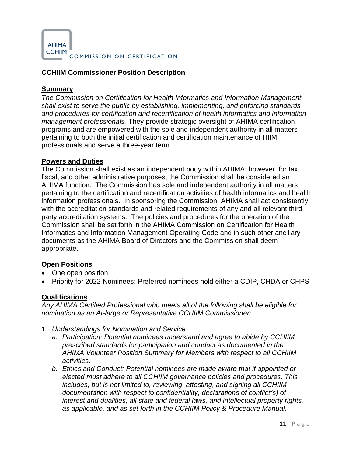

COMMISSION ON CERTIFICATION

#### <span id="page-11-0"></span>**CCHIIM Commissioner Position Description**

#### **Summary**

*The Commission on Certification for Health Informatics and Information Management shall exist to serve the public by establishing, implementing, and enforcing standards and procedures for certification and recertification of health informatics and information management professionals.* They provide strategic oversight of AHIMA certification programs and are empowered with the sole and independent authority in all matters pertaining to both the initial certification and certification maintenance of HIIM professionals and serve a three-year term.

#### **Powers and Duties**

The Commission shall exist as an independent body within AHIMA; however, for tax, fiscal, and other administrative purposes, the Commission shall be considered an AHIMA function. The Commission has sole and independent authority in all matters pertaining to the certification and recertification activities of health informatics and health information professionals. In sponsoring the Commission, AHIMA shall act consistently with the accreditation standards and related requirements of any and all relevant thirdparty accreditation systems. The policies and procedures for the operation of the Commission shall be set forth in the AHIMA Commission on Certification for Health Informatics and Information Management Operating Code and in such other ancillary documents as the AHIMA Board of Directors and the Commission shall deem appropriate.

#### **Open Positions**

- One open position
- Priority for 2022 Nominees: Preferred nominees hold either a CDIP, CHDA or CHPS

#### **Qualifications**

*Any AHIMA Certified Professional who meets all of the following shall be eligible for nomination as an At-large or Representative CCHIIM Commissioner:*

- 1. *Understandings for Nomination and Service*
	- *a. Participation: Potential nominees understand and agree to abide by CCHIIM prescribed standards for participation and conduct as documented in the AHIMA Volunteer Position Summary for Members with respect to all CCHIIM activities.*
	- *b. Ethics and Conduct: Potential nominees are made aware that if appointed or elected must adhere to all CCHIIM governance policies and procedures. This includes, but is not limited to, reviewing, attesting, and signing all CCHIIM documentation with respect to confidentiality, declarations of conflict(s) of interest and dualities, all state and federal laws, and intellectual property rights, as applicable, and as set forth in the CCHIIM Policy & Procedure Manual.*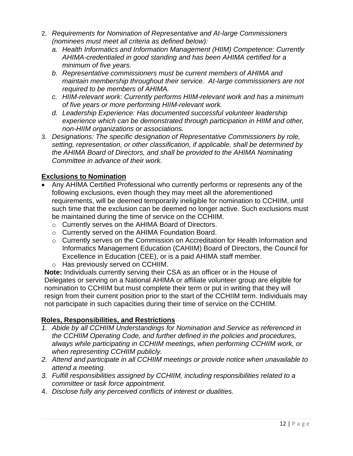- 2. *Requirements for Nomination of Representative and At-large Commissioners (nominees must meet all criteria as defined below):*
	- *a. Health Informatics and Information Management (HIIM) Competence: Currently AHIMA-credentialed in good standing and has been AHIMA certified for a minimum of five years.*
	- *b. Representative commissioners must be current members of AHIMA and maintain membership throughout their service. At-large commissioners are not required to be members of AHIMA.*
	- *c. HIIM-relevant work: Currently performs HIIM-relevant work and has a minimum of five years or more performing HIIM-relevant work.*
	- *d. Leadership Experience: Has documented successful volunteer leadership experience which can be demonstrated through participation in HIIM and other, non-HIIM organizations or associations.*
- 3. *Designations: The specific designation of Representative Commissioners by role, setting, representation, or other classification, if applicable, shall be determined by the AHIMA Board of Directors, and shall be provided to the AHIMA Nominating Committee in advance of their work.*

# **Exclusions to Nomination**

- Any AHIMA Certified Professional who currently performs or represents any of the following exclusions, even though they may meet all the aforementioned requirements, will be deemed temporarily ineligible for nomination to CCHIIM, until such time that the exclusion can be deemed no longer active. Such exclusions must be maintained during the time of service on the CCHIIM.
	- o Currently serves on the AHIMA Board of Directors.
	- o Currently served on the AHIMA Foundation Board.
	- o Currently serves on the Commission on Accreditation for Health Information and Informatics Management Education (CAHIIM) Board of Directors, the Council for Excellence in Education (CEE), or is a paid AHIMA staff member.
	- o Has previously served on CCHIIM.

**Note:** Individuals currently serving their CSA as an officer or in the House of Delegates or serving on a National AHIMA or affiliate volunteer group are eligible for nomination to CCHIIM but must complete their term or put in writing that they will resign from their current position prior to the start of the CCHIIM term. Individuals may not participate in such capacities during their time of service on the CCHIIM.

# **Roles, Responsibilities, and Restrictions**

- *1. Abide by all CCHIIM Understandings for Nomination and Service as referenced in the CCHIIM Operating Code, and further defined in the policies and procedures, always while participating in CCHIIM meetings, when performing CCHIIM work, or when representing CCHIIM publicly.*
- *2. Attend and participate in all CCHIIM meetings or provide notice when unavailable to attend a meeting.*
- *3. Fulfill responsibilities assigned by CCHIIM, including responsibilities related to a committee or task force appointment.*
- 4. *Disclose fully any perceived conflicts of interest or dualities.*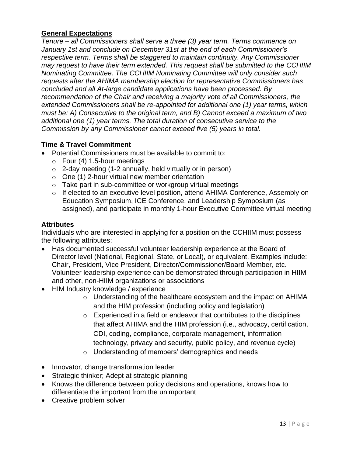## **General Expectations**

*Tenure – all Commissioners shall serve a three (3) year term. Terms commence on January 1st and conclude on December 31st at the end of each Commissioner's respective term. Terms shall be staggered to maintain continuity. Any Commissioner may request to have their term extended. This request shall be submitted to the CCHIIM Nominating Committee. The CCHIIM Nominating Committee will only consider such requests after the AHIMA membership election for representative Commissioners has concluded and all At-large candidate applications have been processed. By recommendation of the Chair and receiving a majority vote of all Commissioners, the extended Commissioners shall be re-appointed for additional one (1) year terms, which must be: A) Consecutive to the original term, and B) Cannot exceed a maximum of two additional one (1) year terms. The total duration of consecutive service to the Commission by any Commissioner cannot exceed five (5) years in total.* 

# **Time & Travel Commitment**

- Potential Commissioners must be available to commit to:
	- $\circ$  Four (4) 1.5-hour meetings
	- $\circ$  2-day meeting (1-2 annually, held virtually or in person)
	- o One (1) 2-hour virtual new member orientation
	- o Take part in sub-committee or workgroup virtual meetings
	- o If elected to an executive level position, attend AHIMA Conference, Assembly on Education Symposium, ICE Conference, and Leadership Symposium (as assigned), and participate in monthly 1-hour Executive Committee virtual meeting

#### **Attributes**

Individuals who are interested in applying for a position on the CCHIIM must possess the following attributes:

- Has documented successful volunteer leadership experience at the Board of Director level (National, Regional, State, or Local), or equivalent. Examples include: Chair, President, Vice President, Director/Commissioner/Board Member, etc. Volunteer leadership experience can be demonstrated through participation in HIIM and other, non-HIIM organizations or associations
- HIM Industry knowledge / experience
	- o Understanding of the healthcare ecosystem and the impact on AHIMA and the HIM profession (including policy and legislation)
	- $\circ$  Experienced in a field or endeavor that contributes to the disciplines that affect AHIMA and the HIM profession (i.e., advocacy, certification, CDI, coding, compliance, corporate management, information technology, privacy and security, public policy, and revenue cycle)
	- o Understanding of members' demographics and needs
- Innovator, change transformation leader
- Strategic thinker; Adept at strategic planning
- Knows the difference between policy decisions and operations, knows how to differentiate the important from the unimportant
- Creative problem solver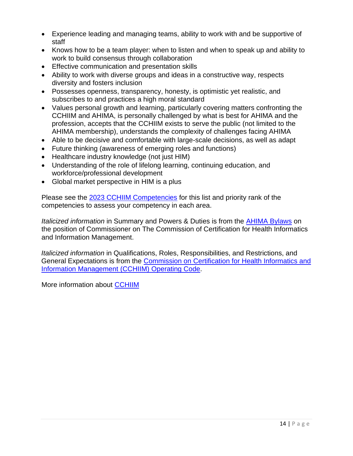- Experience leading and managing teams, ability to work with and be supportive of staff
- Knows how to be a team player: when to listen and when to speak up and ability to work to build consensus through collaboration
- Effective communication and presentation skills
- Ability to work with diverse groups and ideas in a constructive way, respects diversity and fosters inclusion
- Possesses openness, transparency, honesty, is optimistic yet realistic, and subscribes to and practices a high moral standard
- Values personal growth and learning, particularly covering matters confronting the CCHIIM and AHIMA, is personally challenged by what is best for AHIMA and the profession, accepts that the CCHIIM exists to serve the public (not limited to the AHIMA membership), understands the complexity of challenges facing AHIMA
- Able to be decisive and comfortable with large-scale decisions, as well as adapt
- Future thinking (awareness of emerging roles and functions)
- Healthcare industry knowledge (not just HIM)
- Understanding of the role of lifelong learning, continuing education, and workforce/professional development
- Global market perspective in HIM is a plus

Please see the [2023 CCHIIM Competencies](#page-25-0) for this list and priority rank of the competencies to assess your competency in each area.

*Italicized information* in Summary and Powers & Duties is from the [AHIMA Bylaws](https://www.ahima.org/media/tjrh4fxz/ahima-bylaws-october-2020.pdf) on the position of Commissioner on The Commission of Certification for Health Informatics and Information Management.

*Italicized information* in Qualifications, Roles, Responsibilities, and Restrictions, and General Expectations is from the [Commission on Certification for Health Informatics and](https://www.ahima.org/media/gzhdzdbq/cchiim-operating-code-v14-effective-7-21-21.pdf?la=en)  [Information Management \(CCHIIM\) Operating Code.](https://www.ahima.org/media/gzhdzdbq/cchiim-operating-code-v14-effective-7-21-21.pdf?la=en)

More information about [CCHIIM](https://www.ahima.org/certification-careers/certifications-overview/cchiim/cchiim/)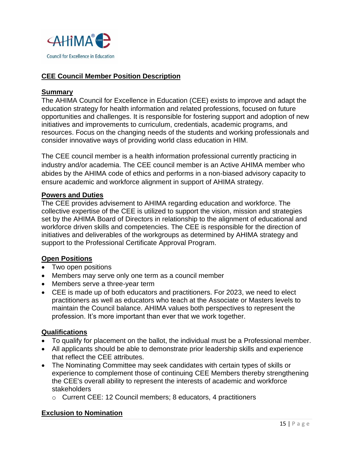

## <span id="page-15-0"></span>**CEE Council Member Position Description**

#### **Summary**

The AHIMA Council for Excellence in Education (CEE) exists to improve and adapt the education strategy for health information and related professions, focused on future opportunities and challenges. It is responsible for fostering support and adoption of new initiatives and improvements to curriculum, credentials, academic programs, and resources. Focus on the changing needs of the students and working professionals and consider innovative ways of providing world class education in HIM.

The CEE council member is a health information professional currently practicing in industry and/or academia. The CEE council member is an Active AHIMA member who abides by the AHIMA code of ethics and performs in a non-biased advisory capacity to ensure academic and workforce alignment in support of AHIMA strategy.

#### **Powers and Duties**

The CEE provides advisement to AHIMA regarding education and workforce. The collective expertise of the CEE is utilized to support the vision, mission and strategies set by the AHIMA Board of Directors in relationship to the alignment of educational and workforce driven skills and competencies. The CEE is responsible for the direction of initiatives and deliverables of the workgroups as determined by AHIMA strategy and support to the Professional Certificate Approval Program.

#### **Open Positions**

- Two open positions
- Members may serve only one term as a council member
- Members serve a three-year term
- CEE is made up of both educators and practitioners. For 2023, we need to elect practitioners as well as educators who teach at the Associate or Masters levels to maintain the Council balance. AHIMA values both perspectives to represent the profession. It's more important than ever that we work together.

#### **Qualifications**

- To qualify for placement on the ballot, the individual must be a Professional member.
- All applicants should be able to demonstrate prior leadership skills and experience that reflect the CEE attributes.
- The Nominating Committee may seek candidates with certain types of skills or experience to complement those of continuing CEE Members thereby strengthening the CEE's overall ability to represent the interests of academic and workforce stakeholders
	- o Current CEE: 12 Council members; 8 educators, 4 practitioners

#### **Exclusion to Nomination**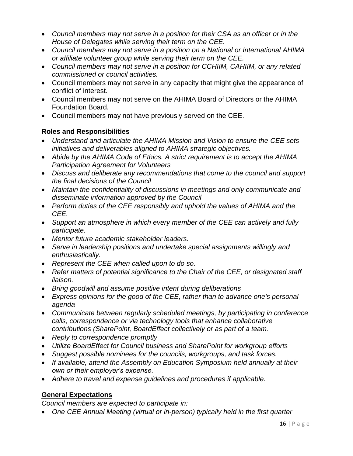- *Council members may not serve in a position for their CSA as an officer or in the House of Delegates while serving their term on the CEE.*
- *Council members may not serve in a position on a National or International AHIMA or affiliate volunteer group while serving their term on the CEE.*
- *Council members may not serve in a position for CCHIIM, CAHIIM, or any related commissioned or council activities.*
- Council members may not serve in any capacity that might give the appearance of conflict of interest.
- Council members may not serve on the AHIMA Board of Directors or the AHIMA Foundation Board.
- Council members may not have previously served on the CEE.

# **Roles and Responsibilities**

- *Understand and articulate the AHIMA Mission and Vision to ensure the CEE sets initiatives and deliverables aligned to AHIMA strategic objectives.*
- *Abide by the AHIMA Code of Ethics. A strict requirement is to accept the AHIMA Participation Agreement for Volunteers*
- *Discuss and deliberate any recommendations that come to the council and support the final decisions of the Council*
- *Maintain the confidentiality of discussions in meetings and only communicate and disseminate information approved by the Council*
- *Perform duties of the CEE responsibly and uphold the values of AHIMA and the CEE.*
- *Support an atmosphere in which every member of the CEE can actively and fully participate.*
- *Mentor future academic stakeholder leaders.*
- *Serve in leadership positions and undertake special assignments willingly and enthusiastically.*
- *Represent the CEE when called upon to do so.*
- *Refer matters of potential significance to the Chair of the CEE, or designated staff liaison.*
- *Bring goodwill and assume positive intent during deliberations*
- *Express opinions for the good of the CEE, rather than to advance one's personal agenda*
- *Communicate between regularly scheduled meetings, by participating in conference calls, correspondence or via technology tools that enhance collaborative contributions (SharePoint, BoardEffect collectively or as part of a team.*
- *Reply to correspondence promptly*
- *Utilize BoardEffect for Council business and SharePoint for workgroup efforts*
- *Suggest possible nominees for the councils, workgroups, and task forces.*
- *If available, attend the Assembly on Education Symposium held annually at their own or their employer's expense.*
- *Adhere to travel and expense guidelines and procedures if applicable.*

# **General Expectations**

*Council members are expected to participate in:*

• *One CEE Annual Meeting (virtual or in-person) typically held in the first quarter*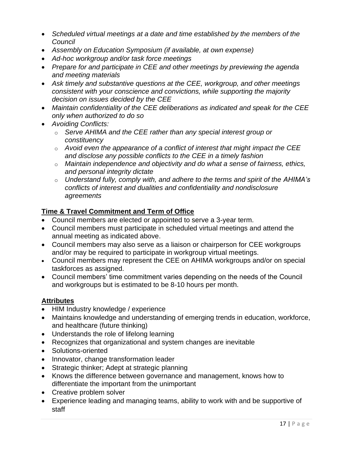- *Scheduled virtual meetings at a date and time established by the members of the Council*
- *Assembly on Education Symposium (if available, at own expense)*
- *Ad-hoc workgroup and/or task force meetings*
- *Prepare for and participate in CEE and other meetings by previewing the agenda and meeting materials*
- *Ask timely and substantive questions at the CEE, workgroup, and other meetings consistent with your conscience and convictions, while supporting the majority decision on issues decided by the CEE*
- *Maintain confidentiality of the CEE deliberations as indicated and speak for the CEE only when authorized to do so*
- *Avoiding Conflicts:*
	- o *Serve AHIMA and the CEE rather than any special interest group or constituency*
	- o *Avoid even the appearance of a conflict of interest that might impact the CEE and disclose any possible conflicts to the CEE in a timely fashion*
	- o *Maintain independence and objectivity and do what a sense of fairness, ethics, and personal integrity dictate*
	- o *Understand fully, comply with, and adhere to the terms and spirit of the AHIMA's conflicts of interest and dualities and confidentiality and nondisclosure agreements*

# **Time & Travel Commitment and Term of Office**

- Council members are elected or appointed to serve a 3-year term.
- Council members must participate in scheduled virtual meetings and attend the annual meeting as indicated above.
- Council members may also serve as a liaison or chairperson for CEE workgroups and/or may be required to participate in workgroup virtual meetings.
- Council members may represent the CEE on AHIMA workgroups and/or on special taskforces as assigned.
- Council members' time commitment varies depending on the needs of the Council and workgroups but is estimated to be 8-10 hours per month.

#### **Attributes**

- HIM Industry knowledge / experience
- Maintains knowledge and understanding of emerging trends in education, workforce, and healthcare (future thinking)
- Understands the role of lifelong learning
- Recognizes that organizational and system changes are inevitable
- Solutions-oriented
- Innovator, change transformation leader
- Strategic thinker; Adept at strategic planning
- Knows the difference between governance and management, knows how to differentiate the important from the unimportant
- Creative problem solver
- Experience leading and managing teams, ability to work with and be supportive of staff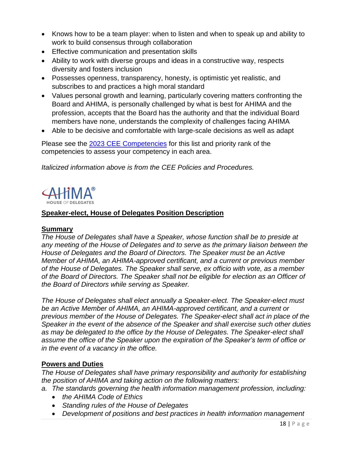- Knows how to be a team player: when to listen and when to speak up and ability to work to build consensus through collaboration
- Effective communication and presentation skills
- Ability to work with diverse groups and ideas in a constructive way, respects diversity and fosters inclusion
- Possesses openness, transparency, honesty, is optimistic yet realistic, and subscribes to and practices a high moral standard
- Values personal growth and learning, particularly covering matters confronting the Board and AHIMA, is personally challenged by what is best for AHIMA and the profession, accepts that the Board has the authority and that the individual Board members have none, understands the complexity of challenges facing AHIMA
- Able to be decisive and comfortable with large-scale decisions as well as adapt

Please see the [2023 CEE Competencies](#page-26-0) for this list and priority rank of the competencies to assess your competency in each area.

*Italicized information above is from the CEE Policies and Procedures.*



# <span id="page-18-0"></span>**Speaker-elect, House of Delegates Position Description**

# **Summary**

*The House of Delegates shall have a Speaker, whose function shall be to preside at any meeting of the House of Delegates and to serve as the primary liaison between the House of Delegates and the Board of Directors. The Speaker must be an Active Member of AHIMA, an AHIMA-approved certificant, and a current or previous member of the House of Delegates. The Speaker shall serve, ex officio with vote, as a member of the Board of Directors. The Speaker shall not be eligible for election as an Officer of the Board of Directors while serving as Speaker.* 

*The House of Delegates shall elect annually a Speaker-elect. The Speaker-elect must be an Active Member of AHIMA, an AHIMA-approved certificant, and a current or previous member of the House of Delegates. The Speaker-elect shall act in place of the Speaker in the event of the absence of the Speaker and shall exercise such other duties as may be delegated to the office by the House of Delegates. The Speaker-elect shall assume the office of the Speaker upon the expiration of the Speaker's term of office or in the event of a vacancy in the office.*

# **Powers and Duties**

*The House of Delegates shall have primary responsibility and authority for establishing the position of AHIMA and taking action on the following matters:*

- *a. The standards governing the health information management profession, including:*
	- *the AHIMA Code of Ethics*
	- *Standing rules of the House of Delegates*
	- *Development of positions and best practices in health information management*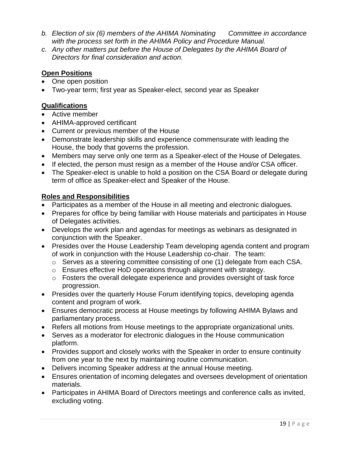- *b. Election of six (6) members of the AHIMA Nominating Committee in accordance with the process set forth in the AHIMA Policy and Procedure Manual.*
- *c. Any other matters put before the House of Delegates by the AHIMA Board of Directors for final consideration and action.*

# **Open Positions**

- One open position
- Two-year term; first year as Speaker-elect, second year as Speaker

# **Qualifications**

- Active member
- AHIMA-approved certificant
- Current or previous member of the House
- Demonstrate leadership skills and experience commensurate with leading the House, the body that governs the profession.
- Members may serve only one term as a Speaker-elect of the House of Delegates.
- If elected, the person must resign as a member of the House and/or CSA officer.
- The Speaker-elect is unable to hold a position on the CSA Board or delegate during term of office as Speaker-elect and Speaker of the House.

# **Roles and Responsibilities**

- Participates as a member of the House in all meeting and electronic dialogues.
- Prepares for office by being familiar with House materials and participates in House of Delegates activities.
- Develops the work plan and agendas for meetings as webinars as designated in conjunction with the Speaker.
- Presides over the House Leadership Team developing agenda content and program of work in conjunction with the House Leadership co-chair. The team:
	- o Serves as a steering committee consisting of one (1) delegate from each CSA.
	- o Ensures effective HoD operations through alignment with strategy.
	- o Fosters the overall delegate experience and provides oversight of task force progression.
- Presides over the quarterly House Forum identifying topics, developing agenda content and program of work.
- Ensures democratic process at House meetings by following AHIMA Bylaws and parliamentary process.
- Refers all motions from House meetings to the appropriate organizational units.
- Serves as a moderator for electronic dialogues in the House communication platform.
- Provides support and closely works with the Speaker in order to ensure continuity from one year to the next by maintaining routine communication.
- Delivers incoming Speaker address at the annual House meeting.
- Ensures orientation of incoming delegates and oversees development of orientation materials.
- Participates in AHIMA Board of Directors meetings and conference calls as invited, excluding voting.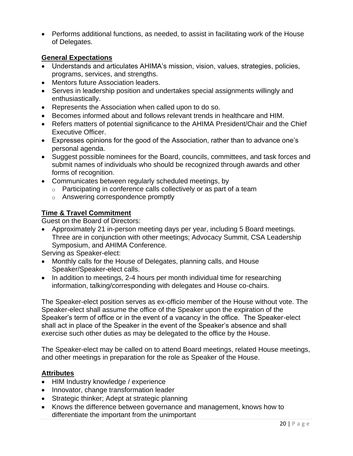• Performs additional functions, as needed, to assist in facilitating work of the House of Delegates.

#### **General Expectations**

- Understands and articulates AHIMA's mission, vision, values, strategies, policies, programs, services, and strengths.
- Mentors future Association leaders.
- Serves in leadership position and undertakes special assignments willingly and enthusiastically.
- Represents the Association when called upon to do so.
- Becomes informed about and follows relevant trends in healthcare and HIM.
- Refers matters of potential significance to the AHIMA President/Chair and the Chief Executive Officer.
- Expresses opinions for the good of the Association, rather than to advance one's personal agenda.
- Suggest possible nominees for the Board, councils, committees, and task forces and submit names of individuals who should be recognized through awards and other forms of recognition.
- Communicates between regularly scheduled meetings, by
	- $\circ$  Participating in conference calls collectively or as part of a team
	- o Answering correspondence promptly

# **Time & Travel Commitment**

Guest on the Board of Directors:

• Approximately 21 in-person meeting days per year, including 5 Board meetings. Three are in conjunction with other meetings; Advocacy Summit, CSA Leadership Symposium, and AHIMA Conference.

Serving as Speaker-elect:

- Monthly calls for the House of Delegates, planning calls, and House Speaker/Speaker-elect calls.
- In addition to meetings, 2-4 hours per month individual time for researching information, talking/corresponding with delegates and House co-chairs.

The Speaker-elect position serves as ex-officio member of the House without vote. The Speaker-elect shall assume the office of the Speaker upon the expiration of the Speaker's term of office or in the event of a vacancy in the office. The Speaker-elect shall act in place of the Speaker in the event of the Speaker's absence and shall exercise such other duties as may be delegated to the office by the House.

The Speaker-elect may be called on to attend Board meetings, related House meetings, and other meetings in preparation for the role as Speaker of the House.

#### **Attributes**

- HIM Industry knowledge / experience
- Innovator, change transformation leader
- Strategic thinker; Adept at strategic planning
- Knows the difference between governance and management, knows how to differentiate the important from the unimportant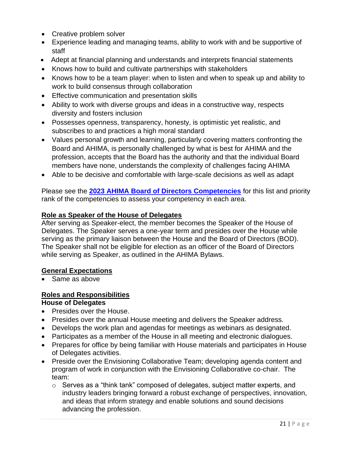- Creative problem solver
- Experience leading and managing teams, ability to work with and be supportive of staff
- Adept at financial planning and understands and interprets financial statements
- Knows how to build and cultivate partnerships with stakeholders
- Knows how to be a team player: when to listen and when to speak up and ability to work to build consensus through collaboration
- Effective communication and presentation skills
- Ability to work with diverse groups and ideas in a constructive way, respects diversity and fosters inclusion
- Possesses openness, transparency, honesty, is optimistic yet realistic, and subscribes to and practices a high moral standard
- Values personal growth and learning, particularly covering matters confronting the Board and AHIMA, is personally challenged by what is best for AHIMA and the profession, accepts that the Board has the authority and that the individual Board members have none, understands the complexity of challenges facing AHIMA
- Able to be decisive and comfortable with large-scale decisions as well as adapt

Please see the **[2023 AHIMA Board of Directors Competencies](#page-24-0)** for this list and priority rank of the competencies to assess your competency in each area.

#### **Role as Speaker of the House of Delegates**

After serving as Speaker-elect, the member becomes the Speaker of the House of Delegates. The Speaker serves a one-year term and presides over the House while serving as the primary liaison between the House and the Board of Directors (BOD). The Speaker shall not be eligible for election as an officer of the Board of Directors while serving as Speaker, as outlined in the AHIMA Bylaws.

#### **General Expectations**

• Same as above

# **Roles and Responsibilities**

#### **House of Delegates**

- Presides over the House.
- Presides over the annual House meeting and delivers the Speaker address.
- Develops the work plan and agendas for meetings as webinars as designated.
- Participates as a member of the House in all meeting and electronic dialogues.
- Prepares for office by being familiar with House materials and participates in House of Delegates activities.
- Preside over the Envisioning Collaborative Team; developing agenda content and program of work in conjunction with the Envisioning Collaborative co-chair. The team:
	- $\circ$  Serves as a "think tank" composed of delegates, subject matter experts, and industry leaders bringing forward a robust exchange of perspectives, innovation, and ideas that inform strategy and enable solutions and sound decisions advancing the profession.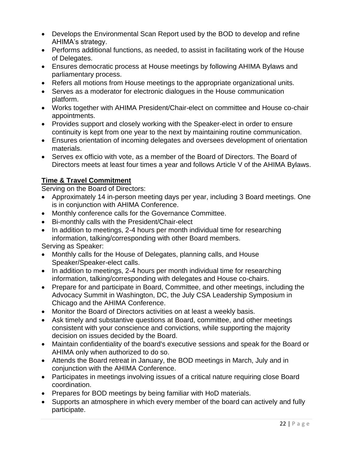- Develops the Environmental Scan Report used by the BOD to develop and refine AHIMA's strategy.
- Performs additional functions, as needed, to assist in facilitating work of the House of Delegates.
- Ensures democratic process at House meetings by following AHIMA Bylaws and parliamentary process.
- Refers all motions from House meetings to the appropriate organizational units.
- Serves as a moderator for electronic dialogues in the House communication platform.
- Works together with AHIMA President/Chair-elect on committee and House co-chair appointments.
- Provides support and closely working with the Speaker-elect in order to ensure continuity is kept from one year to the next by maintaining routine communication.
- Ensures orientation of incoming delegates and oversees development of orientation materials.
- Serves ex officio with vote, as a member of the Board of Directors. The Board of Directors meets at least four times a year and follows Article V of the AHIMA Bylaws.

# **Time & Travel Commitment**

Serving on the Board of Directors:

- Approximately 14 in-person meeting days per year, including 3 Board meetings. One is in conjunction with AHIMA Conference.
- Monthly conference calls for the Governance Committee.
- Bi-monthly calls with the President/Chair-elect
- In addition to meetings, 2-4 hours per month individual time for researching information, talking/corresponding with other Board members.

Serving as Speaker:

- Monthly calls for the House of Delegates, planning calls, and House Speaker/Speaker-elect calls.
- In addition to meetings, 2-4 hours per month individual time for researching information, talking/corresponding with delegates and House co-chairs.
- Prepare for and participate in Board, Committee, and other meetings, including the Advocacy Summit in Washington, DC, the July CSA Leadership Symposium in Chicago and the AHIMA Conference.
- Monitor the Board of Directors activities on at least a weekly basis.
- Ask timely and substantive questions at Board, committee, and other meetings consistent with your conscience and convictions, while supporting the majority decision on issues decided by the Board.
- Maintain confidentiality of the board's executive sessions and speak for the Board or AHIMA only when authorized to do so.
- Attends the Board retreat in January, the BOD meetings in March, July and in conjunction with the AHIMA Conference.
- Participates in meetings involving issues of a critical nature requiring close Board coordination.
- Prepares for BOD meetings by being familiar with HoD materials.
- Supports an atmosphere in which every member of the board can actively and fully participate.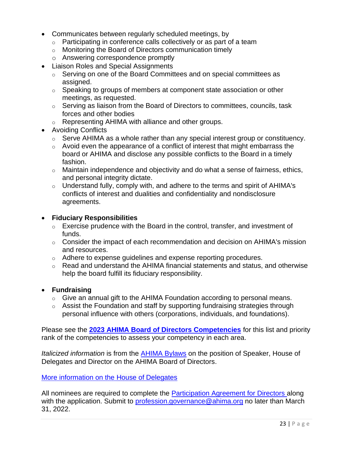- Communicates between regularly scheduled meetings, by
	- $\circ$  Participating in conference calls collectively or as part of a team
	- o Monitoring the Board of Directors communication timely
	- o Answering correspondence promptly
- Liaison Roles and Special Assignments
	- o Serving on one of the Board Committees and on special committees as assigned.
	- o Speaking to groups of members at component state association or other meetings, as requested.
	- o Serving as liaison from the Board of Directors to committees, councils, task forces and other bodies
	- o Representing AHIMA with alliance and other groups.
- Avoiding Conflicts
	- $\circ$  Serve AHIMA as a whole rather than any special interest group or constituency.
	- $\circ$  Avoid even the appearance of a conflict of interest that might embarrass the board or AHIMA and disclose any possible conflicts to the Board in a timely fashion.
	- $\circ$  Maintain independence and objectivity and do what a sense of fairness, ethics, and personal integrity dictate.
	- $\circ$  Understand fully, comply with, and adhere to the terms and spirit of AHIMA's conflicts of interest and dualities and confidentiality and nondisclosure agreements.

## • **Fiduciary Responsibilities**

- $\circ$  Exercise prudence with the Board in the control, transfer, and investment of funds.
- $\circ$  Consider the impact of each recommendation and decision on AHIMA's mission and resources.
- o Adhere to expense guidelines and expense reporting procedures.
- o Read and understand the AHIMA financial statements and status, and otherwise help the board fulfill its fiduciary responsibility.

#### • **Fundraising**

- $\circ$  Give an annual gift to the AHIMA Foundation according to personal means.
- $\circ$  Assist the Foundation and staff by supporting fundraising strategies through personal influence with others (corporations, individuals, and foundations).

Please see the **[2023 AHIMA Board of Directors Competencies](#page-24-0)** for this list and priority rank of the competencies to assess your competency in each area.

*Italicized information* is from the [AHIMA Bylaws](file:///C:/Users/bryantl/AppData/Local/Microsoft/Windows/INetCache/Content.Outlook/5H6PTV4O/AHIMA%20Bylaws) on the position of Speaker, House of Delegates and Director on the AHIMA Board of Directors.

#### [More information on the House of Delegates](https://www.ahima.org/who-we-are/governance/house-of-delegates/)

All nominees are required to complete the [Participation Agreement for Directors](https://www.ahima.org/media/kahfwquf/participation-agreemnt-board-revised-112119.pdf) along with the application. Submit to [profession.governance@ahima.org](mailto:profession.governance@ahima.org) no later than March 31, 2022.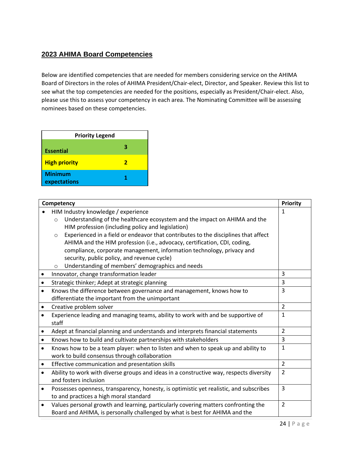# <span id="page-24-0"></span>**2023 AHIMA Board Competencies**

Below are identified competencies that are needed for members considering service on the AHIMA Board of Directors in the roles of AHIMA President/Chair-elect, Director, and Speaker. Review this list to see what the top competencies are needed for the positions, especially as President/Chair-elect. Also, please use this to assess your competency in each area. The Nominating Committee will be assessing nominees based on these competencies.

| <b>Priority Legend</b>         |  |
|--------------------------------|--|
| <b>Essential</b>               |  |
| <b>High priority</b>           |  |
| <b>Minimum</b><br>expectations |  |

| Competency |                                                                                               | Priority       |
|------------|-----------------------------------------------------------------------------------------------|----------------|
|            | HIM Industry knowledge / experience                                                           | 1              |
|            | Understanding of the healthcare ecosystem and the impact on AHIMA and the<br>$\circ$          |                |
|            | HIM profession (including policy and legislation)                                             |                |
|            | Experienced in a field or endeavor that contributes to the disciplines that affect<br>$\circ$ |                |
|            | AHIMA and the HIM profession (i.e., advocacy, certification, CDI, coding,                     |                |
|            | compliance, corporate management, information technology, privacy and                         |                |
|            | security, public policy, and revenue cycle)                                                   |                |
|            | Understanding of members' demographics and needs<br>$\circ$                                   |                |
|            | Innovator, change transformation leader                                                       | 3              |
| $\bullet$  | Strategic thinker; Adept at strategic planning                                                | 3              |
| $\bullet$  | Knows the difference between governance and management, knows how to                          | 3              |
|            | differentiate the important from the unimportant                                              |                |
| $\bullet$  | Creative problem solver                                                                       | $\overline{2}$ |
| $\bullet$  | Experience leading and managing teams, ability to work with and be supportive of              | $\mathbf{1}$   |
|            | staff                                                                                         |                |
| $\bullet$  | Adept at financial planning and understands and interprets financial statements               | $\overline{2}$ |
| $\bullet$  | Knows how to build and cultivate partnerships with stakeholders                               | 3              |
| $\bullet$  | Knows how to be a team player: when to listen and when to speak up and ability to             | $\mathbf{1}$   |
|            | work to build consensus through collaboration                                                 |                |
| ٠          | Effective communication and presentation skills                                               | $\overline{2}$ |
| $\bullet$  | Ability to work with diverse groups and ideas in a constructive way, respects diversity       | $\overline{2}$ |
|            | and fosters inclusion                                                                         |                |
| $\bullet$  | Possesses openness, transparency, honesty, is optimistic yet realistic, and subscribes        | $\overline{3}$ |
|            | to and practices a high moral standard                                                        |                |
| $\bullet$  | Values personal growth and learning, particularly covering matters confronting the            | $\overline{2}$ |
|            | Board and AHIMA, is personally challenged by what is best for AHIMA and the                   |                |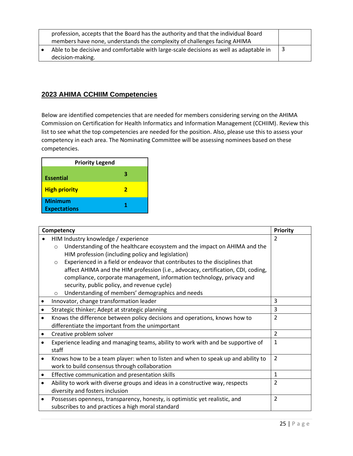| profession, accepts that the Board has the authority and that the individual Board<br>members have none, understands the complexity of challenges facing AHIMA |  |
|----------------------------------------------------------------------------------------------------------------------------------------------------------------|--|
| Able to be decisive and comfortable with large-scale decisions as well as adaptable in<br>decision-making.                                                     |  |

# <span id="page-25-0"></span>**2023 AHIMA CCHIIM Competencies**

Below are identified competencies that are needed for members considering serving on the AHIMA Commission on Certification for Health Informatics and Information Management (CCHIIM). Review this list to see what the top competencies are needed for the position. Also, please use this to assess your competency in each area. The Nominating Committee will be assessing nominees based on these competencies.

| <b>Priority Legend</b>                |   |
|---------------------------------------|---|
| <b>Essential</b>                      |   |
| <b>High priority</b>                  | 7 |
| <b>Minimum</b><br><b>Expectations</b> |   |

|   | Competency                                                                                                                                                                                                                                                                                                                                                                                                                                                                                                                                            | <b>Priority</b> |
|---|-------------------------------------------------------------------------------------------------------------------------------------------------------------------------------------------------------------------------------------------------------------------------------------------------------------------------------------------------------------------------------------------------------------------------------------------------------------------------------------------------------------------------------------------------------|-----------------|
|   | HIM Industry knowledge / experience<br>Understanding of the healthcare ecosystem and the impact on AHIMA and the<br>$\circ$<br>HIM profession (including policy and legislation)<br>Experienced in a field or endeavor that contributes to the disciplines that<br>$\circ$<br>affect AHIMA and the HIM profession (i.e., advocacy, certification, CDI, coding,<br>compliance, corporate management, information technology, privacy and<br>security, public policy, and revenue cycle)<br>Understanding of members' demographics and needs<br>$\circ$ | $\mathcal{P}$   |
|   | Innovator, change transformation leader                                                                                                                                                                                                                                                                                                                                                                                                                                                                                                               | 3               |
|   | 3<br>Strategic thinker; Adept at strategic planning                                                                                                                                                                                                                                                                                                                                                                                                                                                                                                   |                 |
|   | $\overline{2}$<br>Knows the difference between policy decisions and operations, knows how to<br>differentiate the important from the unimportant                                                                                                                                                                                                                                                                                                                                                                                                      |                 |
|   | Creative problem solver                                                                                                                                                                                                                                                                                                                                                                                                                                                                                                                               | $\overline{2}$  |
|   | $\mathbf{1}$<br>Experience leading and managing teams, ability to work with and be supportive of<br>staff                                                                                                                                                                                                                                                                                                                                                                                                                                             |                 |
| ٠ | $\overline{2}$<br>Knows how to be a team player: when to listen and when to speak up and ability to<br>work to build consensus through collaboration                                                                                                                                                                                                                                                                                                                                                                                                  |                 |
| ٠ | $\mathbf{1}$<br>Effective communication and presentation skills                                                                                                                                                                                                                                                                                                                                                                                                                                                                                       |                 |
|   | $\overline{2}$<br>Ability to work with diverse groups and ideas in a constructive way, respects<br>diversity and fosters inclusion                                                                                                                                                                                                                                                                                                                                                                                                                    |                 |
| ٠ | Possesses openness, transparency, honesty, is optimistic yet realistic, and<br>subscribes to and practices a high moral standard                                                                                                                                                                                                                                                                                                                                                                                                                      | $\overline{2}$  |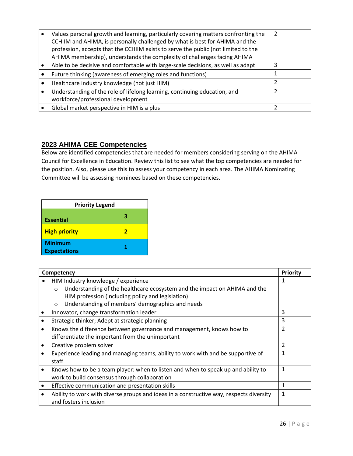| Values personal growth and learning, particularly covering matters confronting the<br>CCHIIM and AHIMA, is personally challenged by what is best for AHIMA and the<br>profession, accepts that the CCHIIM exists to serve the public (not limited to the<br>AHIMA membership), understands the complexity of challenges facing AHIMA |  |
|--------------------------------------------------------------------------------------------------------------------------------------------------------------------------------------------------------------------------------------------------------------------------------------------------------------------------------------|--|
| Able to be decisive and comfortable with large-scale decisions, as well as adapt                                                                                                                                                                                                                                                     |  |
| Future thinking (awareness of emerging roles and functions)                                                                                                                                                                                                                                                                          |  |
| Healthcare industry knowledge (not just HIM)                                                                                                                                                                                                                                                                                         |  |
| Understanding of the role of lifelong learning, continuing education, and<br>workforce/professional development                                                                                                                                                                                                                      |  |
| Global market perspective in HIM is a plus                                                                                                                                                                                                                                                                                           |  |

# <span id="page-26-0"></span>**2023 AHIMA CEE Competencies**

Below are identified competencies that are needed for members considering serving on the AHIMA Council for Excellence in Education. Review this list to see what the top competencies are needed for the position. Also, please use this to assess your competency in each area. The AHIMA Nominating Committee will be assessing nominees based on these competencies.

| <b>Priority Legend</b>                |   |
|---------------------------------------|---|
| <b>Essential</b>                      | в |
| <b>High priority</b>                  | 2 |
| <b>Minimum</b><br><b>Expectations</b> |   |

| Competency |                                                                                         | Priority |
|------------|-----------------------------------------------------------------------------------------|----------|
|            | HIM Industry knowledge / experience                                                     |          |
|            | Understanding of the healthcare ecosystem and the impact on AHIMA and the<br>$\circ$    |          |
|            | HIM profession (including policy and legislation)                                       |          |
|            | Understanding of members' demographics and needs<br>$\circ$                             |          |
|            | Innovator, change transformation leader                                                 | 3        |
|            | Strategic thinker; Adept at strategic planning                                          | 3        |
|            | 2<br>Knows the difference between governance and management, knows how to               |          |
|            | differentiate the important from the unimportant                                        |          |
|            | Creative problem solver                                                                 | 2        |
|            | Experience leading and managing teams, ability to work with and be supportive of        |          |
|            | staff                                                                                   |          |
|            | Knows how to be a team player: when to listen and when to speak up and ability to       |          |
|            | work to build consensus through collaboration                                           |          |
| $\bullet$  | Effective communication and presentation skills                                         | 1        |
|            | Ability to work with diverse groups and ideas in a constructive way, respects diversity |          |
|            | and fosters inclusion                                                                   |          |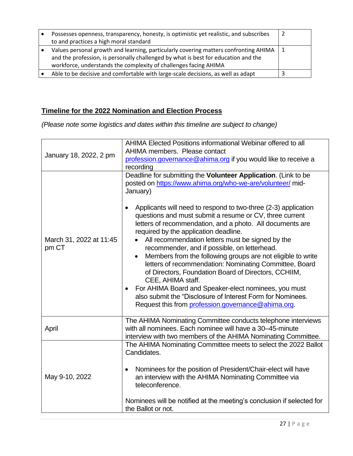| Possesses openness, transparency, honesty, is optimistic yet realistic, and subscribes<br>to and practices a high moral standard                                                                                                                   |  |
|----------------------------------------------------------------------------------------------------------------------------------------------------------------------------------------------------------------------------------------------------|--|
| Values personal growth and learning, particularly covering matters confronting AHIMA   1<br>and the profession, is personally challenged by what is best for education and the<br>workforce, understands the complexity of challenges facing AHIMA |  |
| Able to be decisive and comfortable with large-scale decisions, as well as adapt                                                                                                                                                                   |  |

# <span id="page-27-0"></span>**Timeline for the 2022 Nomination and Election Process**

*(Please note some logistics and dates within this timeline are subject to change)*

|                                  | AHIMA Elected Positions informational Webinar offered to all                                                                                                                                                                                                                                                                                                                                                                                                                                                                                                                                                                                                                 |
|----------------------------------|------------------------------------------------------------------------------------------------------------------------------------------------------------------------------------------------------------------------------------------------------------------------------------------------------------------------------------------------------------------------------------------------------------------------------------------------------------------------------------------------------------------------------------------------------------------------------------------------------------------------------------------------------------------------------|
| January 18, 2022, 2 pm           | AHIMA members. Please contact                                                                                                                                                                                                                                                                                                                                                                                                                                                                                                                                                                                                                                                |
|                                  | profession.governance@ahima.org if you would like to receive a                                                                                                                                                                                                                                                                                                                                                                                                                                                                                                                                                                                                               |
|                                  | recording                                                                                                                                                                                                                                                                                                                                                                                                                                                                                                                                                                                                                                                                    |
|                                  | Deadline for submitting the Volunteer Application. (Link to be<br>posted on https://www.ahima.org/who-we-are/volunteer/ mid-<br>January)                                                                                                                                                                                                                                                                                                                                                                                                                                                                                                                                     |
| March 31, 2022 at 11:45<br>pm CT | Applicants will need to respond to two-three (2-3) application<br>questions and must submit a resume or CV, three current<br>letters of recommendation, and a photo. All documents are<br>required by the application deadline.<br>All recommendation letters must be signed by the<br>recommender, and if possible, on letterhead.<br>Members from the following groups are not eligible to write<br>$\bullet$<br>letters of recommendation: Nominating Committee, Board<br>of Directors, Foundation Board of Directors, CCHIIM,<br>CEE, AHIMA staff.<br>For AHIMA Board and Speaker-elect nominees, you must<br>also submit the "Disclosure of Interest Form for Nominees. |
|                                  | Request this from profession.governance@ahima.org.                                                                                                                                                                                                                                                                                                                                                                                                                                                                                                                                                                                                                           |
|                                  | The AHIMA Nominating Committee conducts telephone interviews                                                                                                                                                                                                                                                                                                                                                                                                                                                                                                                                                                                                                 |
| April                            | with all nominees. Each nominee will have a 30–45-minute                                                                                                                                                                                                                                                                                                                                                                                                                                                                                                                                                                                                                     |
|                                  | interview with two members of the AHIMA Nominating Committee.                                                                                                                                                                                                                                                                                                                                                                                                                                                                                                                                                                                                                |
|                                  | The AHIMA Nominating Committee meets to select the 2022 Ballot<br>Candidates.                                                                                                                                                                                                                                                                                                                                                                                                                                                                                                                                                                                                |
| May 9-10, 2022                   | Nominees for the position of President/Chair-elect will have<br>$\bullet$<br>an interview with the AHIMA Nominating Committee via<br>teleconference.                                                                                                                                                                                                                                                                                                                                                                                                                                                                                                                         |
|                                  | Nominees will be notified at the meeting's conclusion if selected for<br>the Ballot or not.                                                                                                                                                                                                                                                                                                                                                                                                                                                                                                                                                                                  |